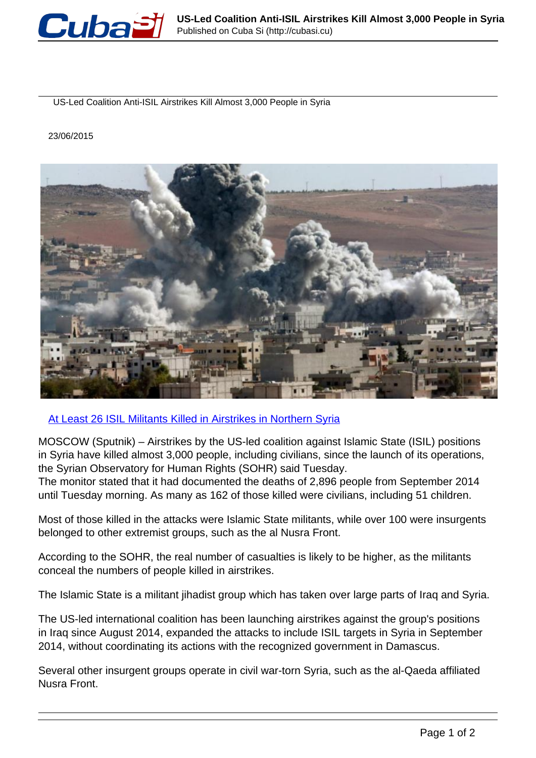

US-Led Coalition Anti-ISIL Airstrikes Kill Almost 3,000 People in Syria

23/06/2015



[At Least 26 ISIL Militants Killed in Airstrikes in Northern Syria](http://sputniknews.com/middleeast/20150623/1023726414.html)

MOSCOW (Sputnik) – Airstrikes by the US-led coalition against Islamic State (ISIL) positions in Syria have killed almost 3,000 people, including civilians, since the launch of its operations, the Syrian Observatory for Human Rights (SOHR) said Tuesday.

The monitor stated that it had documented the deaths of 2,896 people from September 2014 until Tuesday morning. As many as 162 of those killed were civilians, including 51 children.

Most of those killed in the attacks were Islamic State militants, while over 100 were insurgents belonged to other extremist groups, such as the al Nusra Front.

According to the SOHR, the real number of casualties is likely to be higher, as the militants conceal the numbers of people killed in airstrikes.

The Islamic State is a militant jihadist group which has taken over large parts of Iraq and Syria.

The US-led international coalition has been launching airstrikes against the group's positions in Iraq since August 2014, expanded the attacks to include ISIL targets in Syria in September 2014, without coordinating its actions with the recognized government in Damascus.

Several other insurgent groups operate in civil war-torn Syria, such as the al-Qaeda affiliated Nusra Front.